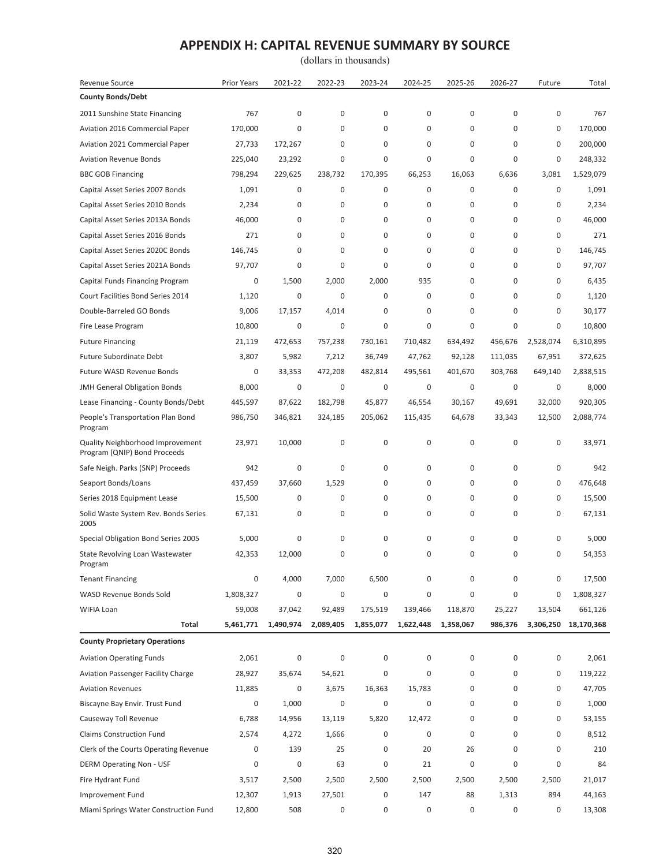| Revenue Source                                                   | <b>Prior Years</b> | 2021-22   | 2022-23   | 2023-24   | 2024-25   | 2025-26     | 2026-27          | Future    | Total      |
|------------------------------------------------------------------|--------------------|-----------|-----------|-----------|-----------|-------------|------------------|-----------|------------|
| <b>County Bonds/Debt</b>                                         |                    |           |           |           |           |             |                  |           |            |
| 2011 Sunshine State Financing                                    | 767                | 0         | 0         | 0         | 0         | $\mathbf 0$ | 0                | 0         | 767        |
| Aviation 2016 Commercial Paper                                   | 170,000            | 0         | 0         | 0         | 0         | 0           | 0                | 0         | 170,000    |
| Aviation 2021 Commercial Paper                                   | 27,733             | 172,267   | 0         | 0         | 0         | $\mathbf 0$ | 0                | 0         | 200,000    |
| <b>Aviation Revenue Bonds</b>                                    | 225,040            | 23,292    | 0         | 0         | 0         | $\mathbf 0$ | 0                | 0         | 248,332    |
| <b>BBC GOB Financing</b>                                         | 798,294            | 229,625   | 238,732   | 170,395   | 66,253    | 16,063      | 6,636            | 3,081     | 1,529,079  |
| Capital Asset Series 2007 Bonds                                  | 1,091              | 0         | 0         | 0         | 0         | $\mathbf 0$ | 0                | 0         | 1,091      |
| Capital Asset Series 2010 Bonds                                  | 2,234              | 0         | 0         | 0         | 0         | 0           | 0                | 0         | 2,234      |
| Capital Asset Series 2013A Bonds                                 | 46,000             | 0         | 0         | 0         | 0         | 0           | 0                | 0         | 46,000     |
| Capital Asset Series 2016 Bonds                                  | 271                | 0         | 0         | 0         | 0         | $\mathbf 0$ | 0                | 0         | 271        |
| Capital Asset Series 2020C Bonds                                 | 146,745            | 0         | 0         | 0         | 0         | 0           | 0                | 0         | 146,745    |
| Capital Asset Series 2021A Bonds                                 | 97,707             | 0         | 0         | 0         | 0         | $\mathbf 0$ | 0                | 0         | 97,707     |
| Capital Funds Financing Program                                  | 0                  | 1,500     | 2,000     | 2,000     | 935       | $\mathbf 0$ | 0                | 0         | 6,435      |
| Court Facilities Bond Series 2014                                | 1,120              | 0         | 0         | 0         | 0         | 0           | 0                | 0         | 1,120      |
| Double-Barreled GO Bonds                                         | 9,006              | 17,157    | 4,014     | 0         | 0         | $\mathbf 0$ | 0                | 0         | 30,177     |
| Fire Lease Program                                               | 10,800             | 0         | 0         | 0         | 0         | 0           | 0                | 0         | 10,800     |
| <b>Future Financing</b>                                          | 21,119             | 472,653   | 757,238   | 730,161   | 710,482   | 634,492     | 456,676          | 2,528,074 | 6,310,895  |
| <b>Future Subordinate Debt</b>                                   | 3,807              | 5,982     | 7,212     | 36.749    | 47,762    | 92,128      | 111,035          | 67,951    | 372,625    |
| Future WASD Revenue Bonds                                        | 0                  | 33,353    | 472,208   | 482,814   | 495,561   | 401,670     | 303,768          | 649,140   | 2,838,515  |
| JMH General Obligation Bonds                                     | 8,000              | 0         | 0         | 0         | 0         | 0           | 0                | 0         | 8,000      |
| Lease Financing - County Bonds/Debt                              | 445,597            | 87,622    | 182,798   | 45,877    | 46,554    | 30,167      | 49,691           | 32,000    | 920,305    |
| People's Transportation Plan Bond<br>Program                     | 986,750            | 346,821   | 324,185   | 205,062   | 115,435   | 64,678      | 33,343           | 12,500    | 2,088,774  |
| Quality Neighborhood Improvement<br>Program (QNIP) Bond Proceeds | 23,971             | 10,000    | 0         | 0         | 0         | 0           | 0                | 0         | 33,971     |
| Safe Neigh. Parks (SNP) Proceeds                                 | 942                | 0         | 0         | 0         | 0         | $\mathbf 0$ | $\mathbf 0$      | 0         | 942        |
| Seaport Bonds/Loans                                              | 437,459            | 37,660    | 1,529     | 0         | 0         | 0           | 0                | 0         | 476,648    |
| Series 2018 Equipment Lease                                      | 15,500             | 0         | 0         | 0         | 0         | $\mathbf 0$ | 0                | 0         | 15,500     |
| Solid Waste System Rev. Bonds Series<br>2005                     | 67,131             | 0         | 0         | 0         | 0         | $\mathbf 0$ | 0                | 0         | 67,131     |
| Special Obligation Bond Series 2005                              | 5,000              | 0         | 0         | 0         | 0         | $\mathbf 0$ | 0                | 0         | 5,000      |
| State Revolving Loan Wastewater<br>Program                       | 42,353             | 12,000    | 0         | 0         | 0         | $\mathbf 0$ | 0                | 0         | 54,353     |
| <b>Tenant Financing</b>                                          | 0                  | 4,000     | 7,000     | 6,500     | 0         | 0           | 0                | 0         | 17,500     |
| WASD Revenue Bonds Sold                                          | 1,808,327          | 0         | 0         | 0         | 0         | 0           | $\boldsymbol{0}$ | 0         | 1,808,327  |
| WIFIA Loan                                                       | 59,008             | 37,042    | 92,489    | 175,519   | 139,466   | 118,870     | 25,227           | 13,504    | 661,126    |
| Total                                                            | 5,461,771          | 1,490,974 | 2,089,405 | 1,855,077 | 1,622,448 | 1,358,067   | 986,376          | 3,306,250 | 18,170,368 |
| <b>County Proprietary Operations</b>                             |                    |           |           |           |           |             |                  |           |            |
| <b>Aviation Operating Funds</b>                                  | 2,061              | $\pmb{0}$ | 0         | 0         | 0         | 0           | $\pmb{0}$        | 0         | 2,061      |
| <b>Aviation Passenger Facility Charge</b>                        | 28,927             | 35,674    | 54,621    | 0         | 0         | 0           | 0                | 0         | 119,222    |
| <b>Aviation Revenues</b>                                         | 11,885             | 0         | 3,675     | 16,363    | 15,783    | 0           | 0                | 0         | 47,705     |
| Biscayne Bay Envir. Trust Fund                                   | 0                  | 1,000     | 0         | 0         | 0         | 0           | 0                | 0         | 1,000      |
| Causeway Toll Revenue                                            | 6,788              | 14,956    | 13,119    | 5,820     | 12,472    | 0           | 0                | 0         | 53,155     |
| <b>Claims Construction Fund</b>                                  | 2,574              | 4,272     | 1,666     | 0         | 0         | 0           | 0                | 0         | 8,512      |
| Clerk of the Courts Operating Revenue                            | 0                  | 139       | 25        | 0         | 20        | 26          | 0                | 0         | 210        |
| <b>DERM Operating Non - USF</b>                                  | $\mathsf 0$        | 0         | 63        | 0         | 21        | $\pmb{0}$   | $\boldsymbol{0}$ | 0         | 84         |
| Fire Hydrant Fund                                                | 3,517              | 2,500     | 2,500     | 2,500     | 2,500     | 2,500       | 2,500            | 2,500     | 21,017     |
| Improvement Fund                                                 | 12,307             | 1,913     | 27,501    | 0         | 147       | 88          | 1,313            | 894       | 44,163     |
| Miami Springs Water Construction Fund                            | 12,800             | 508       | 0         | 0         | 0         | 0           | 0                | 0         | 13,308     |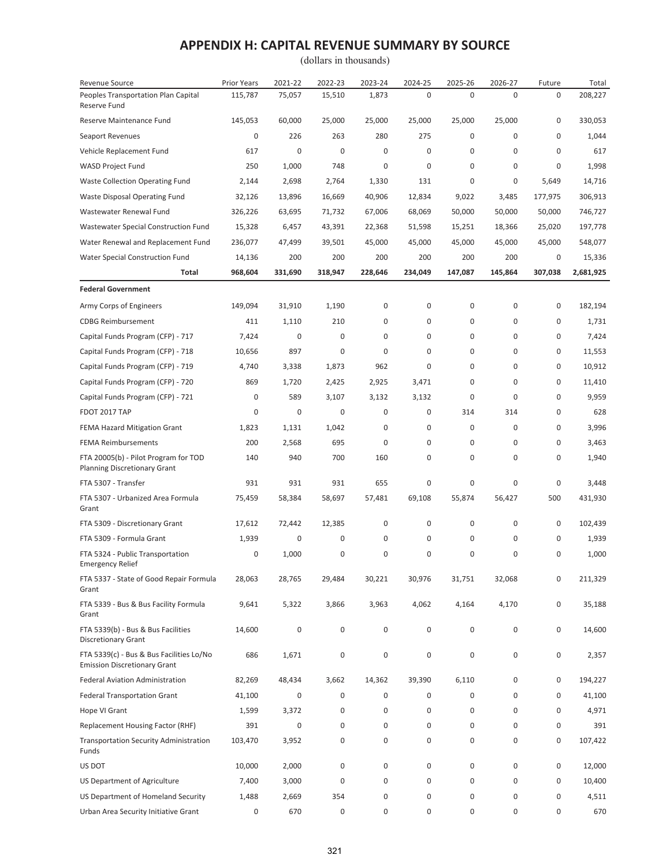| Revenue Source                                                                  | Prior Years | 2021-22          | 2022-23 | 2023-24 | 2024-25 | 2025-26          | 2026-27          | Future      | Total     |
|---------------------------------------------------------------------------------|-------------|------------------|---------|---------|---------|------------------|------------------|-------------|-----------|
| Peoples Transportation Plan Capital<br>Reserve Fund                             | 115,787     | 75,057           | 15,510  | 1,873   | 0       | $\mathbf 0$      | $\mathbf 0$      | $\mathbf 0$ | 208,227   |
| Reserve Maintenance Fund                                                        | 145,053     | 60,000           | 25,000  | 25,000  | 25,000  | 25,000           | 25,000           | 0           | 330,053   |
| Seaport Revenues                                                                | 0           | 226              | 263     | 280     | 275     | 0                | 0                | 0           | 1,044     |
| Vehicle Replacement Fund                                                        | 617         | 0                | 0       | 0       | 0       | 0                | 0                | $\mathbf 0$ | 617       |
| <b>WASD Project Fund</b>                                                        | 250         | 1,000            | 748     | 0       | 0       | 0                | 0                | $\mathbf 0$ | 1,998     |
| Waste Collection Operating Fund                                                 | 2,144       | 2,698            | 2,764   | 1,330   | 131     | 0                | 0                | 5,649       | 14,716    |
| Waste Disposal Operating Fund                                                   | 32,126      | 13,896           | 16,669  | 40,906  | 12,834  | 9,022            | 3,485            | 177,975     | 306,913   |
| Wastewater Renewal Fund                                                         | 326,226     | 63,695           | 71,732  | 67,006  | 68,069  | 50,000           | 50,000           | 50,000      | 746,727   |
| Wastewater Special Construction Fund                                            | 15,328      | 6,457            | 43,391  | 22,368  | 51,598  | 15,251           | 18,366           | 25,020      | 197,778   |
| Water Renewal and Replacement Fund                                              | 236,077     | 47,499           | 39,501  | 45,000  | 45,000  | 45,000           | 45,000           | 45,000      | 548,077   |
| <b>Water Special Construction Fund</b>                                          | 14,136      | 200              | 200     | 200     | 200     | 200              | 200              | 0           | 15,336    |
| Total                                                                           | 968,604     | 331,690          | 318,947 | 228,646 | 234,049 | 147,087          | 145,864          | 307,038     | 2,681,925 |
| <b>Federal Government</b>                                                       |             |                  |         |         |         |                  |                  |             |           |
| Army Corps of Engineers                                                         | 149,094     | 31,910           | 1,190   | 0       | 0       | 0                | 0                | 0           | 182,194   |
| <b>CDBG Reimbursement</b>                                                       | 411         | 1,110            | 210     | 0       | 0       | 0                | 0                | 0           | 1,731     |
| Capital Funds Program (CFP) - 717                                               | 7,424       | 0                | 0       | 0       | 0       | 0                | 0                | $\mathbf 0$ | 7,424     |
| Capital Funds Program (CFP) - 718                                               | 10,656      | 897              | 0       | 0       | 0       | 0                | 0                | $\mathbf 0$ | 11,553    |
| Capital Funds Program (CFP) - 719                                               | 4,740       | 3,338            | 1,873   | 962     | 0       | 0                | 0                | 0           | 10,912    |
| Capital Funds Program (CFP) - 720                                               | 869         | 1,720            | 2,425   | 2,925   | 3,471   | 0                | 0                | 0           | 11,410    |
| Capital Funds Program (CFP) - 721                                               | 0           | 589              | 3,107   | 3,132   | 3,132   | 0                | 0                | $\mathbf 0$ | 9,959     |
| <b>FDOT 2017 TAP</b>                                                            | 0           | 0                | 0       | 0       | 0       | 314              | 314              | $\mathbf 0$ | 628       |
| <b>FEMA Hazard Mitigation Grant</b>                                             | 1,823       | 1,131            | 1,042   | 0       | 0       | 0                | 0                | $\mathbf 0$ | 3,996     |
| <b>FEMA Reimbursements</b>                                                      | 200         | 2,568            | 695     | 0       | 0       | 0                | 0                | $\mathbf 0$ | 3,463     |
| FTA 20005(b) - Pilot Program for TOD<br><b>Planning Discretionary Grant</b>     | 140         | 940              | 700     | 160     | 0       | 0                | 0                | 0           | 1,940     |
| FTA 5307 - Transfer                                                             | 931         | 931              | 931     | 655     | 0       | 0                | 0                | $\mathbf 0$ | 3,448     |
| FTA 5307 - Urbanized Area Formula                                               | 75,459      | 58,384           | 58,697  | 57,481  | 69,108  | 55,874           | 56,427           | 500         | 431,930   |
| Grant                                                                           |             |                  |         |         |         |                  |                  |             |           |
| FTA 5309 - Discretionary Grant                                                  | 17,612      | 72,442           | 12,385  | 0       | 0       | 0                | 0                | 0           | 102,439   |
| FTA 5309 - Formula Grant                                                        | 1,939       | 0                | 0       | 0       | 0       | 0                | 0                | 0           | 1,939     |
| FTA 5324 - Public Transportation<br><b>Emergency Relief</b>                     | 0           | 1,000            | 0       | 0       | 0       | 0                | 0                | $\mathbf 0$ | 1,000     |
| FTA 5337 - State of Good Repair Formula<br>Grant                                | 28,063      | 28,765           | 29,484  | 30,221  | 30,976  | 31,751           | 32,068           | 0           | 211,329   |
| FTA 5339 - Bus & Bus Facility Formula<br>Grant                                  | 9,641       | 5,322            | 3,866   | 3,963   | 4,062   | 4,164            | 4,170            | 0           | 35,188    |
| FTA 5339(b) - Bus & Bus Facilities<br><b>Discretionary Grant</b>                | 14,600      | $\boldsymbol{0}$ | 0       | 0       | 0       | 0                | $\pmb{0}$        | 0           | 14,600    |
| FTA 5339(c) - Bus & Bus Facilities Lo/No<br><b>Emission Discretionary Grant</b> | 686         | 1,671            | 0       | 0       | 0       | $\boldsymbol{0}$ | $\boldsymbol{0}$ | 0           | 2,357     |
| <b>Federal Aviation Administration</b>                                          | 82,269      | 48,434           | 3,662   | 14,362  | 39,390  | 6,110            | 0                | 0           | 194,227   |
| <b>Federal Transportation Grant</b>                                             | 41,100      | 0                | 0       | 0       | 0       | 0                | 0                | 0           | 41,100    |
| Hope VI Grant                                                                   | 1,599       | 3,372            | 0       | 0       | 0       | 0                | 0                | 0           | 4,971     |
| Replacement Housing Factor (RHF)                                                | 391         | 0                | 0       | 0       | 0       | 0                | 0                | 0           | 391       |
| <b>Transportation Security Administration</b><br>Funds                          | 103,470     | 3,952            | 0       | 0       | 0       | 0                | 0                | 0           | 107,422   |
| US DOT                                                                          | 10,000      | 2,000            | 0       | 0       | 0       | 0                | 0                | 0           | 12,000    |
| US Department of Agriculture                                                    | 7,400       | 3,000            | 0       | 0       | 0       | 0                | 0                | 0           | 10,400    |
| US Department of Homeland Security                                              | 1,488       | 2,669            | 354     | 0       | 0       | 0                | 0                | 0           | 4,511     |
| Urban Area Security Initiative Grant                                            | 0           | 670              | 0       | 0       | 0       | 0                | 0                | 0           | 670       |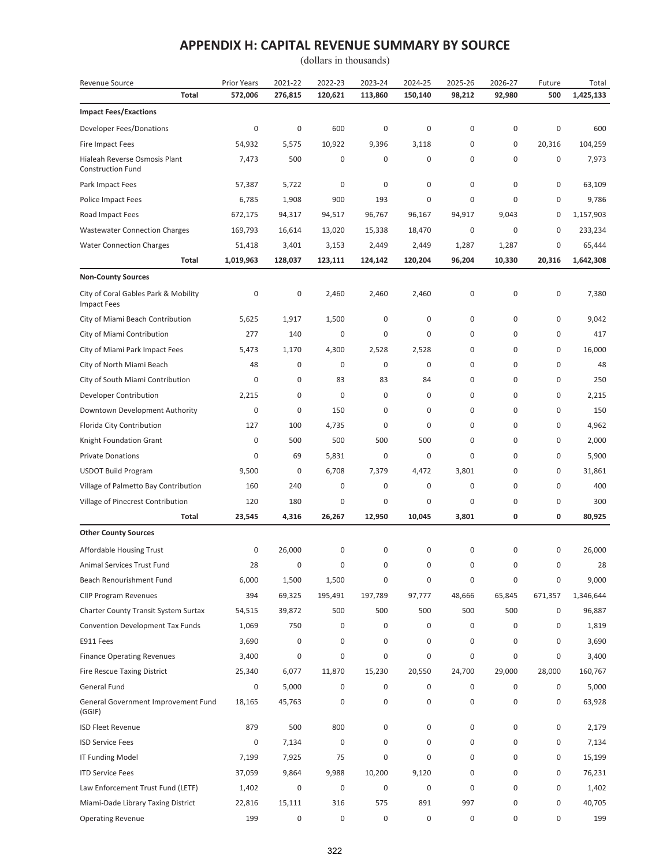| Revenue Source                                             | Prior Years | 2021-22 | 2022-23 | 2023-24 | 2024-25 | 2025-26 | 2026-27 | Future      | Total     |
|------------------------------------------------------------|-------------|---------|---------|---------|---------|---------|---------|-------------|-----------|
| <b>Total</b>                                               | 572,006     | 276,815 | 120,621 | 113,860 | 150,140 | 98,212  | 92,980  | 500         | 1,425,133 |
| <b>Impact Fees/Exactions</b>                               |             |         |         |         |         |         |         |             |           |
| Developer Fees/Donations                                   | 0           | 0       | 600     | 0       | 0       | 0       | 0       | 0           | 600       |
| Fire Impact Fees                                           | 54,932      | 5,575   | 10,922  | 9,396   | 3,118   | 0       | 0       | 20,316      | 104,259   |
| Hialeah Reverse Osmosis Plant<br><b>Construction Fund</b>  | 7,473       | 500     | 0       | 0       | 0       | 0       | 0       | 0           | 7,973     |
| Park Impact Fees                                           | 57,387      | 5,722   | 0       | 0       | 0       | 0       | 0       | 0           | 63,109    |
| Police Impact Fees                                         | 6,785       | 1,908   | 900     | 193     | 0       | 0       | 0       | 0           | 9,786     |
| Road Impact Fees                                           | 672,175     | 94,317  | 94,517  | 96,767  | 96,167  | 94,917  | 9,043   | $\mathbf 0$ | 1,157,903 |
| <b>Wastewater Connection Charges</b>                       | 169,793     | 16,614  | 13,020  | 15,338  | 18,470  | 0       | 0       | $\mathbf 0$ | 233,234   |
| <b>Water Connection Charges</b>                            | 51,418      | 3,401   | 3,153   | 2,449   | 2,449   | 1,287   | 1,287   | $\mathbf 0$ | 65,444    |
| Total                                                      | 1,019,963   | 128,037 | 123,111 | 124,142 | 120,204 | 96,204  | 10,330  | 20,316      | 1,642,308 |
| <b>Non-County Sources</b>                                  |             |         |         |         |         |         |         |             |           |
| City of Coral Gables Park & Mobility<br><b>Impact Fees</b> | 0           | 0       | 2,460   | 2,460   | 2,460   | 0       | 0       | 0           | 7,380     |
| City of Miami Beach Contribution                           | 5,625       | 1,917   | 1,500   | 0       | 0       | 0       | 0       | 0           | 9,042     |
| City of Miami Contribution                                 | 277         | 140     | 0       | 0       | 0       | 0       | 0       | 0           | 417       |
| City of Miami Park Impact Fees                             | 5,473       | 1,170   | 4,300   | 2,528   | 2,528   | 0       | 0       | 0           | 16,000    |
| City of North Miami Beach                                  | 48          | 0       | 0       | 0       | 0       | 0       | 0       | 0           | 48        |
| City of South Miami Contribution                           | 0           | 0       | 83      | 83      | 84      | 0       | 0       | 0           | 250       |
| Developer Contribution                                     | 2,215       | 0       | 0       | 0       | 0       | 0       | 0       | $\mathbf 0$ | 2,215     |
| Downtown Development Authority                             | 0           | 0       | 150     | 0       | 0       | 0       | 0       | 0           | 150       |
| Florida City Contribution                                  | 127         | 100     | 4,735   | 0       | 0       | 0       | 0       | 0           | 4,962     |
| Knight Foundation Grant                                    | 0           | 500     | 500     | 500     | 500     | 0       | 0       | 0           | 2,000     |
| <b>Private Donations</b>                                   | 0           | 69      | 5,831   | 0       | 0       | 0       | 0       | 0           | 5,900     |
| <b>USDOT Build Program</b>                                 | 9,500       | 0       | 6,708   | 7,379   | 4,472   | 3,801   | 0       | 0           | 31,861    |
| Village of Palmetto Bay Contribution                       | 160         | 240     | 0       | 0       | 0       | 0       | 0       | 0           | 400       |
| Village of Pinecrest Contribution                          | 120         | 180     | 0       | 0       | 0       | 0       | 0       | 0           | 300       |
| Total                                                      | 23,545      | 4,316   | 26,267  | 12,950  | 10,045  | 3,801   | 0       | 0           | 80,925    |
| <b>Other County Sources</b>                                |             |         |         |         |         |         |         |             |           |
| Affordable Housing Trust                                   | 0           | 26,000  | 0       | 0       | 0       | 0       | 0       | 0           | 26,000    |
| Animal Services Trust Fund                                 | 28          | 0       | 0       | 0       | 0       | 0       | 0       | $\mathbf 0$ | 28        |
| Beach Renourishment Fund                                   | 6,000       | 1,500   | 1,500   | 0       | 0       | 0       | 0       | 0           | 9,000     |
| <b>CIIP Program Revenues</b>                               | 394         | 69,325  | 195,491 | 197,789 | 97,777  | 48,666  | 65,845  | 671,357     | 1,346,644 |
| <b>Charter County Transit System Surtax</b>                | 54,515      | 39,872  | 500     | 500     | 500     | 500     | 500     | 0           | 96,887    |
| <b>Convention Development Tax Funds</b>                    | 1,069       | 750     | 0       | 0       | 0       | 0       | 0       | 0           | 1,819     |
| E911 Fees                                                  | 3,690       | 0       | 0       | 0       | 0       | 0       | 0       | 0           | 3,690     |
| <b>Finance Operating Revenues</b>                          | 3,400       | 0       | 0       | 0       | 0       | 0       | 0       | 0           | 3,400     |
| Fire Rescue Taxing District                                | 25,340      | 6,077   | 11,870  | 15,230  | 20,550  | 24,700  | 29,000  | 28,000      | 160,767   |
| General Fund                                               | 0           | 5,000   | 0       | 0       | 0       | 0       | 0       | 0           | 5,000     |
| General Government Improvement Fund<br>(GGIF)              | 18,165      | 45,763  | 0       | 0       | 0       | 0       | 0       | 0           | 63,928    |
| <b>ISD Fleet Revenue</b>                                   | 879         | 500     | 800     | 0       | 0       | 0       | 0       | 0           | 2,179     |
| <b>ISD Service Fees</b>                                    | 0           | 7,134   | 0       | 0       | 0       | 0       | 0       | 0           | 7,134     |
| <b>IT Funding Model</b>                                    | 7,199       | 7,925   | 75      | 0       | 0       | 0       | 0       | 0           | 15,199    |
| <b>ITD Service Fees</b>                                    | 37,059      | 9,864   | 9,988   | 10,200  | 9,120   | 0       | 0       | 0           | 76,231    |
| Law Enforcement Trust Fund (LETF)                          | 1,402       | 0       | 0       | 0       | 0       | 0       | 0       | 0           | 1,402     |
| Miami-Dade Library Taxing District                         | 22,816      | 15,111  | 316     | 575     | 891     | 997     | 0       | $\mathbf 0$ | 40,705    |
| <b>Operating Revenue</b>                                   | 199         | 0       | 0       | 0       | 0       | 0       | 0       | 0           | 199       |